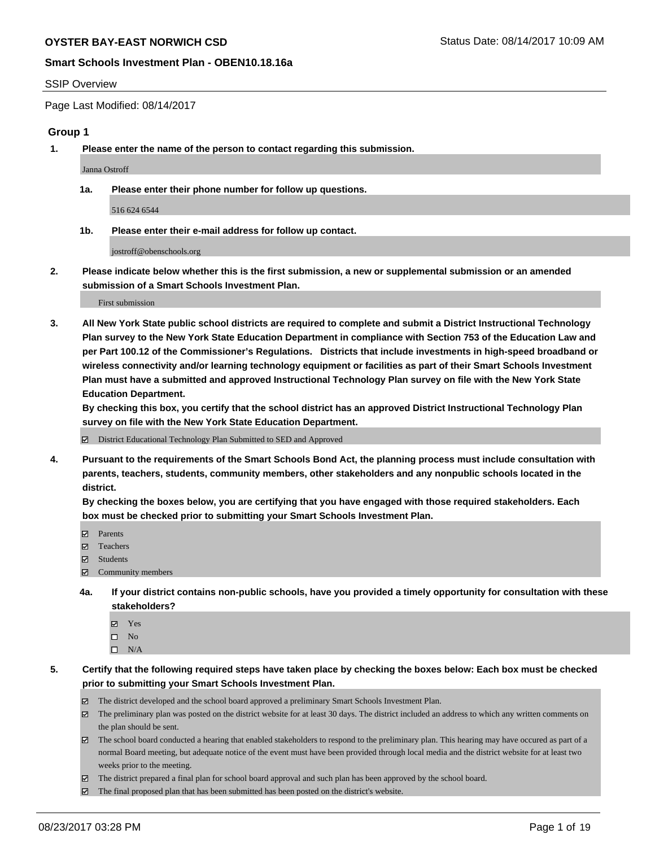#### SSIP Overview

Page Last Modified: 08/14/2017

#### **Group 1**

**1. Please enter the name of the person to contact regarding this submission.**

Janna Ostroff

**1a. Please enter their phone number for follow up questions.**

516 624 6544

**1b. Please enter their e-mail address for follow up contact.**

jostroff@obenschools.org

**2. Please indicate below whether this is the first submission, a new or supplemental submission or an amended submission of a Smart Schools Investment Plan.**

First submission

**3. All New York State public school districts are required to complete and submit a District Instructional Technology Plan survey to the New York State Education Department in compliance with Section 753 of the Education Law and per Part 100.12 of the Commissioner's Regulations. Districts that include investments in high-speed broadband or wireless connectivity and/or learning technology equipment or facilities as part of their Smart Schools Investment Plan must have a submitted and approved Instructional Technology Plan survey on file with the New York State Education Department.** 

**By checking this box, you certify that the school district has an approved District Instructional Technology Plan survey on file with the New York State Education Department.**

District Educational Technology Plan Submitted to SED and Approved

**4. Pursuant to the requirements of the Smart Schools Bond Act, the planning process must include consultation with parents, teachers, students, community members, other stakeholders and any nonpublic schools located in the district.** 

**By checking the boxes below, you are certifying that you have engaged with those required stakeholders. Each box must be checked prior to submitting your Smart Schools Investment Plan.**

- **マ** Parents
- □ Teachers
- Students
- $\Xi$  Community members
- **4a. If your district contains non-public schools, have you provided a timely opportunity for consultation with these stakeholders?**
	- Yes
	- $\hfill \square$  No
	- $\square$  N/A
- **5. Certify that the following required steps have taken place by checking the boxes below: Each box must be checked prior to submitting your Smart Schools Investment Plan.**
	- The district developed and the school board approved a preliminary Smart Schools Investment Plan.
	- $\boxtimes$  The preliminary plan was posted on the district website for at least 30 days. The district included an address to which any written comments on the plan should be sent.
	- $\boxtimes$  The school board conducted a hearing that enabled stakeholders to respond to the preliminary plan. This hearing may have occured as part of a normal Board meeting, but adequate notice of the event must have been provided through local media and the district website for at least two weeks prior to the meeting.
	- The district prepared a final plan for school board approval and such plan has been approved by the school board.
	- $\boxtimes$  The final proposed plan that has been submitted has been posted on the district's website.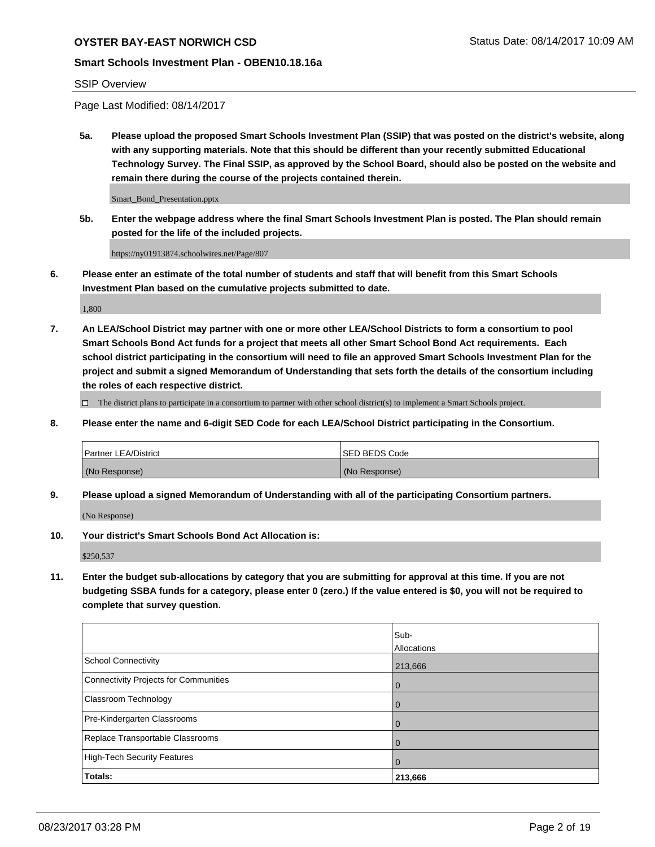# **OYSTER BAY-EAST NORWICH CSD** Status Date: 08/14/2017 10:09 AM

## **Smart Schools Investment Plan - OBEN10.18.16a**

#### SSIP Overview

Page Last Modified: 08/14/2017

**5a. Please upload the proposed Smart Schools Investment Plan (SSIP) that was posted on the district's website, along with any supporting materials. Note that this should be different than your recently submitted Educational Technology Survey. The Final SSIP, as approved by the School Board, should also be posted on the website and remain there during the course of the projects contained therein.**

Smart\_Bond\_Presentation.pptx

**5b. Enter the webpage address where the final Smart Schools Investment Plan is posted. The Plan should remain posted for the life of the included projects.**

https://ny01913874.schoolwires.net/Page/807

**6. Please enter an estimate of the total number of students and staff that will benefit from this Smart Schools Investment Plan based on the cumulative projects submitted to date.**

1,800

**7. An LEA/School District may partner with one or more other LEA/School Districts to form a consortium to pool Smart Schools Bond Act funds for a project that meets all other Smart School Bond Act requirements. Each school district participating in the consortium will need to file an approved Smart Schools Investment Plan for the project and submit a signed Memorandum of Understanding that sets forth the details of the consortium including the roles of each respective district.**

 $\Box$  The district plans to participate in a consortium to partner with other school district(s) to implement a Smart Schools project.

**8. Please enter the name and 6-digit SED Code for each LEA/School District participating in the Consortium.**

| <b>Partner LEA/District</b> | <b>ISED BEDS Code</b> |
|-----------------------------|-----------------------|
| (No Response)               | (No Response)         |

**9. Please upload a signed Memorandum of Understanding with all of the participating Consortium partners.**

(No Response)

**10. Your district's Smart Schools Bond Act Allocation is:**

\$250,537

**11. Enter the budget sub-allocations by category that you are submitting for approval at this time. If you are not budgeting SSBA funds for a category, please enter 0 (zero.) If the value entered is \$0, you will not be required to complete that survey question.**

|                                              | Sub-<br>Allocations |
|----------------------------------------------|---------------------|
|                                              |                     |
| <b>School Connectivity</b>                   | 213,666             |
| <b>Connectivity Projects for Communities</b> | 0                   |
| Classroom Technology                         | $\overline{0}$      |
| Pre-Kindergarten Classrooms                  | $\overline{0}$      |
| Replace Transportable Classrooms             | 0                   |
| <b>High-Tech Security Features</b>           | $\overline{0}$      |
| Totals:                                      | 213,666             |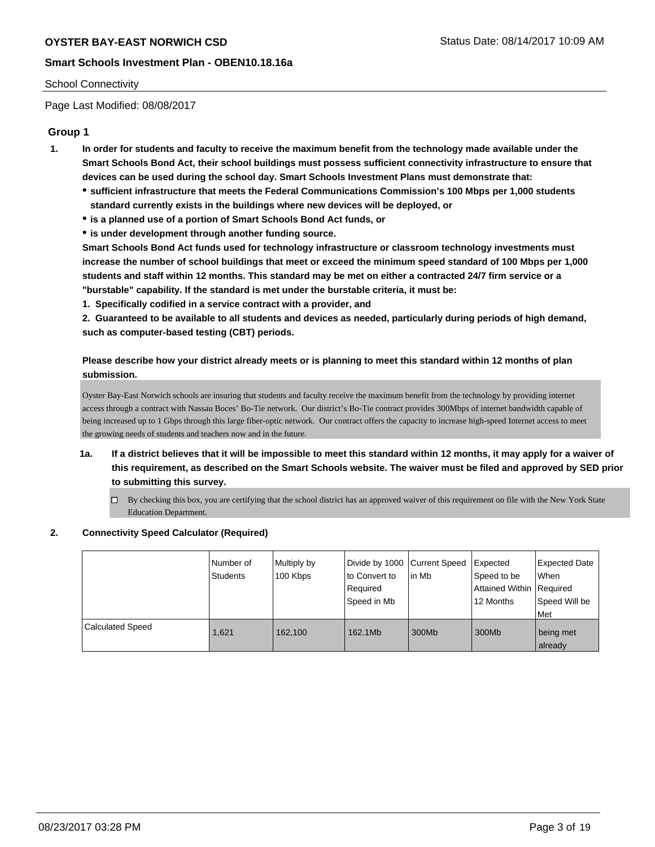#### School Connectivity

Page Last Modified: 08/08/2017

## **Group 1**

- **1. In order for students and faculty to receive the maximum benefit from the technology made available under the Smart Schools Bond Act, their school buildings must possess sufficient connectivity infrastructure to ensure that devices can be used during the school day. Smart Schools Investment Plans must demonstrate that:**
	- **sufficient infrastructure that meets the Federal Communications Commission's 100 Mbps per 1,000 students standard currently exists in the buildings where new devices will be deployed, or**
	- **is a planned use of a portion of Smart Schools Bond Act funds, or**
	- **is under development through another funding source.**

**Smart Schools Bond Act funds used for technology infrastructure or classroom technology investments must increase the number of school buildings that meet or exceed the minimum speed standard of 100 Mbps per 1,000 students and staff within 12 months. This standard may be met on either a contracted 24/7 firm service or a "burstable" capability. If the standard is met under the burstable criteria, it must be:**

**1. Specifically codified in a service contract with a provider, and**

**2. Guaranteed to be available to all students and devices as needed, particularly during periods of high demand, such as computer-based testing (CBT) periods.**

**Please describe how your district already meets or is planning to meet this standard within 12 months of plan submission.**

Oyster Bay-East Norwich schools are insuring that students and faculty receive the maximum benefit from the technology by providing internet access through a contract with Nassau Boces' Bo-Tie network. Our district's Bo-Tie contract provides 300Mbps of internet bandwidth capable of being increased up to 1 Gbps through this large fiber-optic network. Our contract offers the capacity to increase high-speed Internet access to meet the growing needs of students and teachers now and in the future.

- **1a. If a district believes that it will be impossible to meet this standard within 12 months, it may apply for a waiver of this requirement, as described on the Smart Schools website. The waiver must be filed and approved by SED prior to submitting this survey.**
	- By checking this box, you are certifying that the school district has an approved waiver of this requirement on file with the New York State Education Department.

#### **2. Connectivity Speed Calculator (Required)**

|                         | Number of<br><b>Students</b> | Multiply by<br>100 Kbps | Divide by 1000 Current Speed<br>to Convert to<br>Required<br>Speed in Mb | lin Mb | Expected<br>Speed to be<br>Attained Within Required<br>12 Months | <b>Expected Date</b><br>When<br>Speed Will be<br><b>Met</b> |
|-------------------------|------------------------------|-------------------------|--------------------------------------------------------------------------|--------|------------------------------------------------------------------|-------------------------------------------------------------|
| <b>Calculated Speed</b> | 1.621                        | 162.100                 | 162.1Mb                                                                  | 300Mb  | 300Mb                                                            | being met<br>already                                        |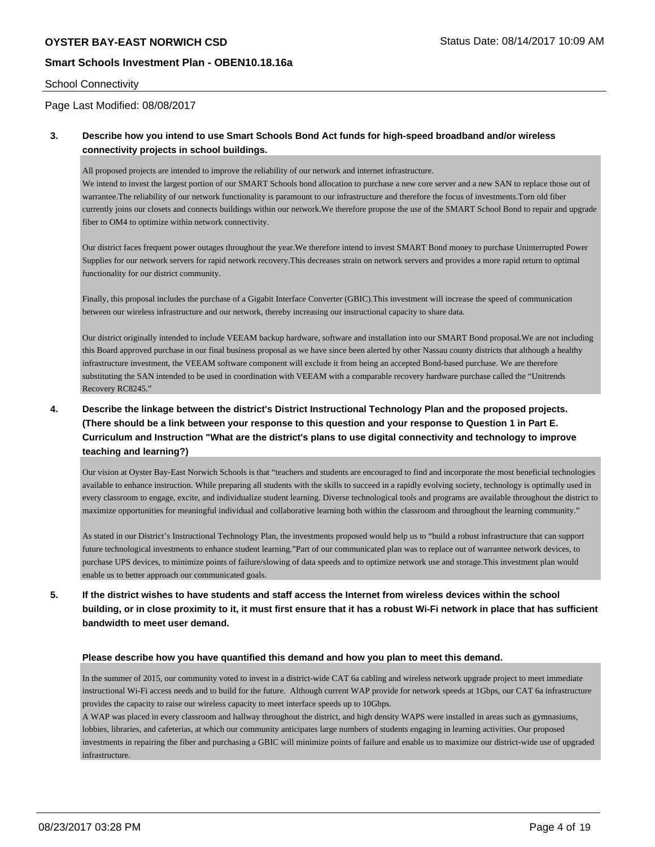#### School Connectivity

## Page Last Modified: 08/08/2017

## **3. Describe how you intend to use Smart Schools Bond Act funds for high-speed broadband and/or wireless connectivity projects in school buildings.**

All proposed projects are intended to improve the reliability of our network and internet infrastructure.

We intend to invest the largest portion of our SMART Schools bond allocation to purchase a new core server and a new SAN to replace those out of warrantee.The reliability of our network functionality is paramount to our infrastructure and therefore the focus of investments.Torn old fiber currently joins our closets and connects buildings within our network.We therefore propose the use of the SMART School Bond to repair and upgrade fiber to OM4 to optimize within network connectivity.

Our district faces frequent power outages throughout the year.We therefore intend to invest SMART Bond money to purchase Uninterrupted Power Supplies for our network servers for rapid network recovery.This decreases strain on network servers and provides a more rapid return to optimal functionality for our district community.

Finally, this proposal includes the purchase of a Gigabit Interface Converter (GBIC).This investment will increase the speed of communication between our wireless infrastructure and our network, thereby increasing our instructional capacity to share data.

Our district originally intended to include VEEAM backup hardware, software and installation into our SMART Bond proposal.We are not including this Board approved purchase in our final business proposal as we have since been alerted by other Nassau county districts that although a healthy infrastructure investment, the VEEAM software component will exclude it from being an accepted Bond-based purchase. We are therefore substituting the SAN intended to be used in coordination with VEEAM with a comparable recovery hardware purchase called the "Unitrends Recovery RC8245."

# **4. Describe the linkage between the district's District Instructional Technology Plan and the proposed projects. (There should be a link between your response to this question and your response to Question 1 in Part E. Curriculum and Instruction "What are the district's plans to use digital connectivity and technology to improve teaching and learning?)**

Our vision at Oyster Bay-East Norwich Schools is that "teachers and students are encouraged to find and incorporate the most beneficial technologies available to enhance instruction. While preparing all students with the skills to succeed in a rapidly evolving society, technology is optimally used in every classroom to engage, excite, and individualize student learning. Diverse technological tools and programs are available throughout the district to maximize opportunities for meaningful individual and collaborative learning both within the classroom and throughout the learning community."

As stated in our District's Instructional Technology Plan, the investments proposed would help us to "build a robust infrastructure that can support future technological investments to enhance student learning."Part of our communicated plan was to replace out of warrantee network devices, to purchase UPS devices, to minimize points of failure/slowing of data speeds and to optimize network use and storage.This investment plan would enable us to better approach our communicated goals.

# **5. If the district wishes to have students and staff access the Internet from wireless devices within the school building, or in close proximity to it, it must first ensure that it has a robust Wi-Fi network in place that has sufficient bandwidth to meet user demand.**

#### **Please describe how you have quantified this demand and how you plan to meet this demand.**

In the summer of 2015, our community voted to invest in a district-wide CAT 6a cabling and wireless network upgrade project to meet immediate instructional Wi-Fi access needs and to build for the future. Although current WAP provide for network speeds at 1Gbps, our CAT 6a infrastructure provides the capacity to raise our wireless capacity to meet interface speeds up to 10Gbps.

A WAP was placed in every classroom and hallway throughout the district, and high density WAPS were installed in areas such as gymnasiums, lobbies, libraries, and cafeterias, at which our community anticipates large numbers of students engaging in learning activities. Our proposed investments in repairing the fiber and purchasing a GBIC will minimize points of failure and enable us to maximize our district-wide use of upgraded infrastructure.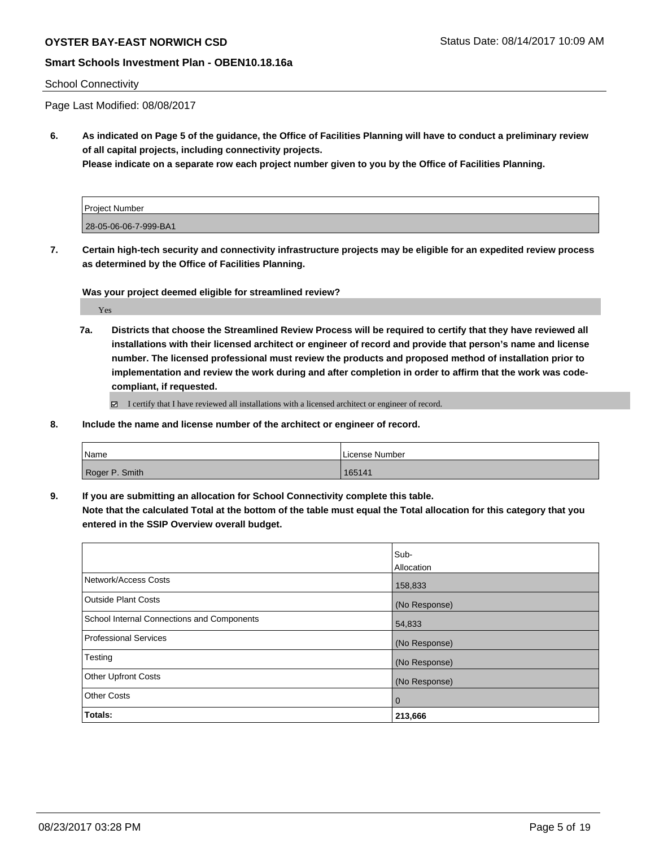# **OYSTER BAY-EAST NORWICH CSD Status Date: 08/14/2017 10:09 AM**

## **Smart Schools Investment Plan - OBEN10.18.16a**

#### School Connectivity

Page Last Modified: 08/08/2017

**6. As indicated on Page 5 of the guidance, the Office of Facilities Planning will have to conduct a preliminary review of all capital projects, including connectivity projects.**

**Please indicate on a separate row each project number given to you by the Office of Facilities Planning.**

| <b>Project Number</b> |  |
|-----------------------|--|
| 28-05-06-06-7-999-BA1 |  |

**7. Certain high-tech security and connectivity infrastructure projects may be eligible for an expedited review process as determined by the Office of Facilities Planning.**

**Was your project deemed eligible for streamlined review?**

Yes

**7a. Districts that choose the Streamlined Review Process will be required to certify that they have reviewed all installations with their licensed architect or engineer of record and provide that person's name and license number. The licensed professional must review the products and proposed method of installation prior to implementation and review the work during and after completion in order to affirm that the work was codecompliant, if requested.**

 $\Box$  I certify that I have reviewed all installations with a licensed architect or engineer of record.

**8. Include the name and license number of the architect or engineer of record.**

| Name           | License Number |
|----------------|----------------|
| Roger P. Smith | 165141         |

**9. If you are submitting an allocation for School Connectivity complete this table.**

**Note that the calculated Total at the bottom of the table must equal the Total allocation for this category that you entered in the SSIP Overview overall budget.** 

|                                            | Sub-              |
|--------------------------------------------|-------------------|
|                                            | <b>Allocation</b> |
| Network/Access Costs                       | 158,833           |
| Outside Plant Costs                        | (No Response)     |
| School Internal Connections and Components | 54,833            |
| Professional Services                      | (No Response)     |
| Testing                                    | (No Response)     |
| <b>Other Upfront Costs</b>                 | (No Response)     |
| <b>Other Costs</b>                         | $\overline{0}$    |
| Totals:                                    | 213,666           |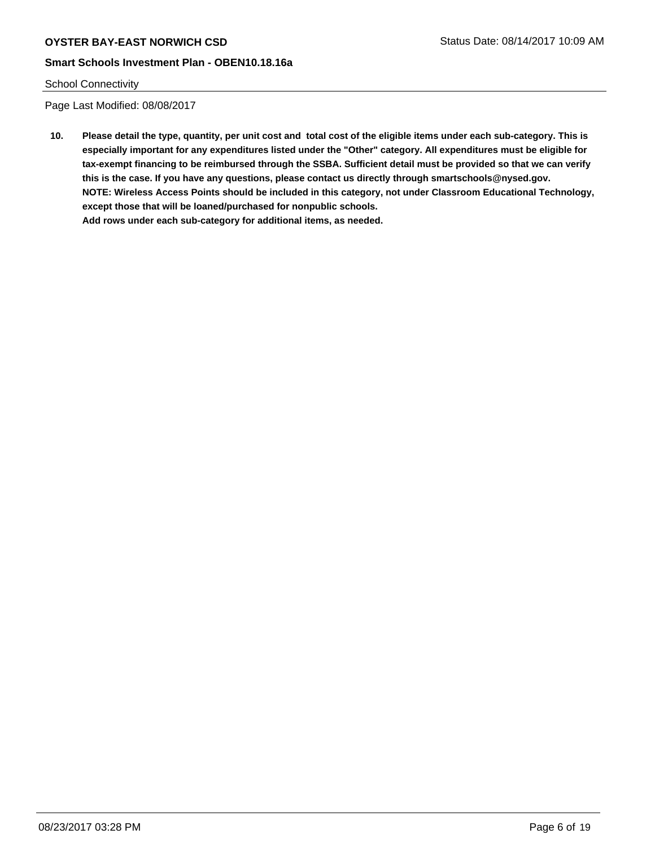# **OYSTER BAY-EAST NORWICH CSD** Status Date: 08/14/2017 10:09 AM

## **Smart Schools Investment Plan - OBEN10.18.16a**

## School Connectivity

Page Last Modified: 08/08/2017

**10. Please detail the type, quantity, per unit cost and total cost of the eligible items under each sub-category. This is especially important for any expenditures listed under the "Other" category. All expenditures must be eligible for tax-exempt financing to be reimbursed through the SSBA. Sufficient detail must be provided so that we can verify this is the case. If you have any questions, please contact us directly through smartschools@nysed.gov. NOTE: Wireless Access Points should be included in this category, not under Classroom Educational Technology, except those that will be loaned/purchased for nonpublic schools. Add rows under each sub-category for additional items, as needed.**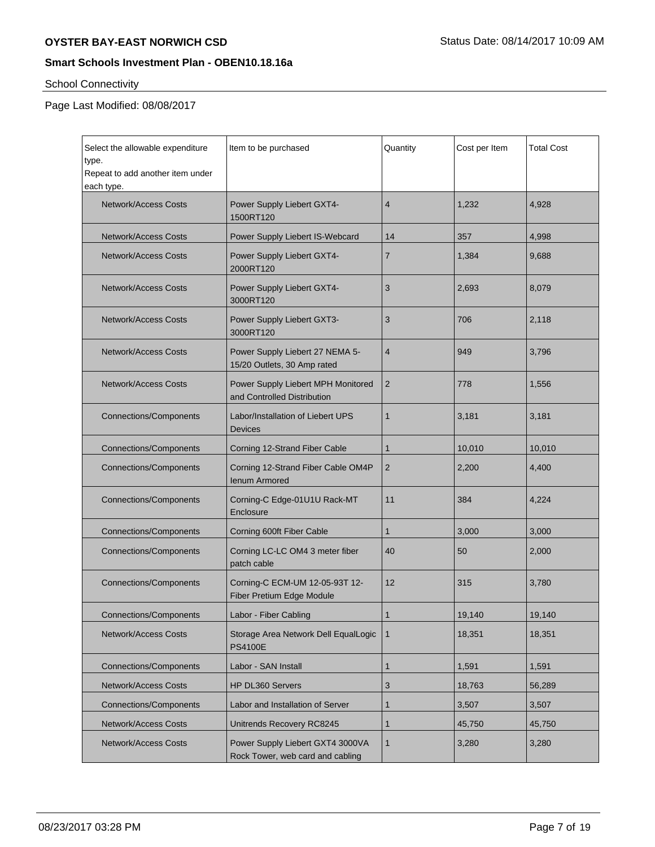# School Connectivity

Page Last Modified: 08/08/2017

| Select the allowable expenditure<br>type.<br>Repeat to add another item under<br>each type. | Item to be purchased                                                 | Quantity       | Cost per Item | <b>Total Cost</b> |
|---------------------------------------------------------------------------------------------|----------------------------------------------------------------------|----------------|---------------|-------------------|
| <b>Network/Access Costs</b>                                                                 | Power Supply Liebert GXT4-<br>1500RT120                              | $\overline{4}$ | 1,232         | 4,928             |
| <b>Network/Access Costs</b>                                                                 | Power Supply Liebert IS-Webcard                                      | 14             | 357           | 4,998             |
| <b>Network/Access Costs</b>                                                                 | Power Supply Liebert GXT4-<br>2000RT120                              | $\overline{7}$ | 1,384         | 9,688             |
| <b>Network/Access Costs</b>                                                                 | Power Supply Liebert GXT4-<br>3000RT120                              | 3              | 2,693         | 8,079             |
| <b>Network/Access Costs</b>                                                                 | Power Supply Liebert GXT3-<br>3000RT120                              | 3              | 706           | 2,118             |
| <b>Network/Access Costs</b>                                                                 | Power Supply Liebert 27 NEMA 5-<br>15/20 Outlets, 30 Amp rated       | $\overline{4}$ | 949           | 3,796             |
| <b>Network/Access Costs</b>                                                                 | Power Supply Liebert MPH Monitored<br>and Controlled Distribution    | $\overline{2}$ | 778           | 1,556             |
| <b>Connections/Components</b>                                                               | Labor/Installation of Liebert UPS<br><b>Devices</b>                  | 1              | 3,181         | 3,181             |
| <b>Connections/Components</b>                                                               | Corning 12-Strand Fiber Cable                                        | $\mathbf{1}$   | 10,010        | 10,010            |
| <b>Connections/Components</b>                                                               | Corning 12-Strand Fiber Cable OM4P<br><b>lenum Armored</b>           | $\overline{2}$ | 2,200         | 4,400             |
| <b>Connections/Components</b>                                                               | Corning-C Edge-01U1U Rack-MT<br>Enclosure                            | 11             | 384           | 4,224             |
| <b>Connections/Components</b>                                                               | Corning 600ft Fiber Cable                                            | 1              | 3,000         | 3,000             |
| <b>Connections/Components</b>                                                               | Corning LC-LC OM4 3 meter fiber<br>patch cable                       | 40             | 50            | 2,000             |
| <b>Connections/Components</b>                                                               | Corning-C ECM-UM 12-05-93T 12-<br>Fiber Pretium Edge Module          | 12             | 315           | 3,780             |
| <b>Connections/Components</b>                                                               | Labor - Fiber Cabling                                                | 1              | 19.140        | 19,140            |
| Network/Access Costs                                                                        | Storage Area Network Dell EqualLogic<br><b>PS4100E</b>               | $\mathbf{1}$   | 18,351        | 18,351            |
| <b>Connections/Components</b>                                                               | Labor - SAN Install                                                  | $\mathbf{1}$   | 1,591         | 1,591             |
| Network/Access Costs                                                                        | HP DL360 Servers                                                     | 3              | 18,763        | 56,289            |
| <b>Connections/Components</b>                                                               | Labor and Installation of Server                                     | $\mathbf{1}$   | 3,507         | 3,507             |
| <b>Network/Access Costs</b>                                                                 | Unitrends Recovery RC8245                                            | $\mathbf{1}$   | 45,750        | 45,750            |
| Network/Access Costs                                                                        | Power Supply Liebert GXT4 3000VA<br>Rock Tower, web card and cabling | $\mathbf{1}$   | 3,280         | 3,280             |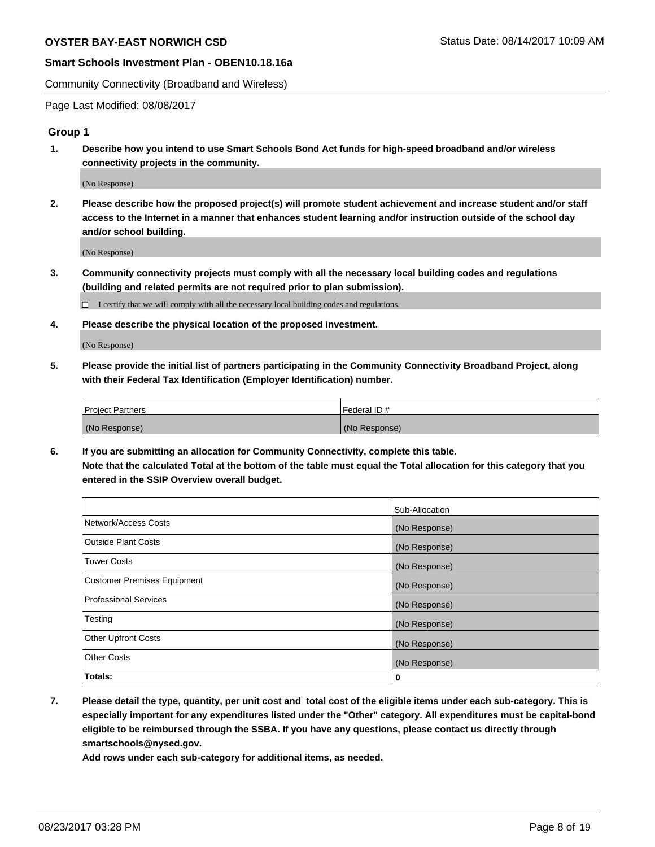Community Connectivity (Broadband and Wireless)

Page Last Modified: 08/08/2017

## **Group 1**

**1. Describe how you intend to use Smart Schools Bond Act funds for high-speed broadband and/or wireless connectivity projects in the community.**

(No Response)

**2. Please describe how the proposed project(s) will promote student achievement and increase student and/or staff access to the Internet in a manner that enhances student learning and/or instruction outside of the school day and/or school building.**

(No Response)

**3. Community connectivity projects must comply with all the necessary local building codes and regulations (building and related permits are not required prior to plan submission).**

 $\Box$  I certify that we will comply with all the necessary local building codes and regulations.

**4. Please describe the physical location of the proposed investment.**

(No Response)

**5. Please provide the initial list of partners participating in the Community Connectivity Broadband Project, along with their Federal Tax Identification (Employer Identification) number.**

| <b>Project Partners</b> | Federal ID#     |
|-------------------------|-----------------|
| (No Response)           | l (No Response) |

**6. If you are submitting an allocation for Community Connectivity, complete this table. Note that the calculated Total at the bottom of the table must equal the Total allocation for this category that you entered in the SSIP Overview overall budget.**

|                                    | Sub-Allocation |
|------------------------------------|----------------|
| Network/Access Costs               | (No Response)  |
| Outside Plant Costs                | (No Response)  |
| <b>Tower Costs</b>                 | (No Response)  |
| <b>Customer Premises Equipment</b> | (No Response)  |
| <b>Professional Services</b>       | (No Response)  |
| Testing                            | (No Response)  |
| <b>Other Upfront Costs</b>         | (No Response)  |
| <b>Other Costs</b>                 | (No Response)  |
| Totals:                            | 0              |

**7. Please detail the type, quantity, per unit cost and total cost of the eligible items under each sub-category. This is especially important for any expenditures listed under the "Other" category. All expenditures must be capital-bond eligible to be reimbursed through the SSBA. If you have any questions, please contact us directly through smartschools@nysed.gov.**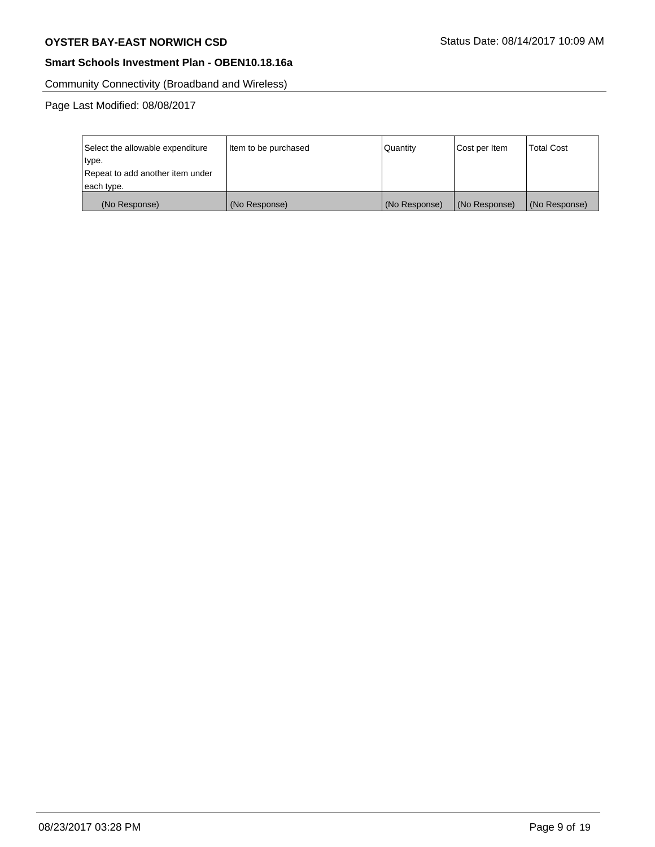Community Connectivity (Broadband and Wireless)

Page Last Modified: 08/08/2017

| Select the allowable expenditure | Item to be purchased | Quantity      | Cost per Item | <b>Total Cost</b> |
|----------------------------------|----------------------|---------------|---------------|-------------------|
| type.                            |                      |               |               |                   |
| Repeat to add another item under |                      |               |               |                   |
| each type.                       |                      |               |               |                   |
| (No Response)                    | (No Response)        | (No Response) | (No Response) | (No Response)     |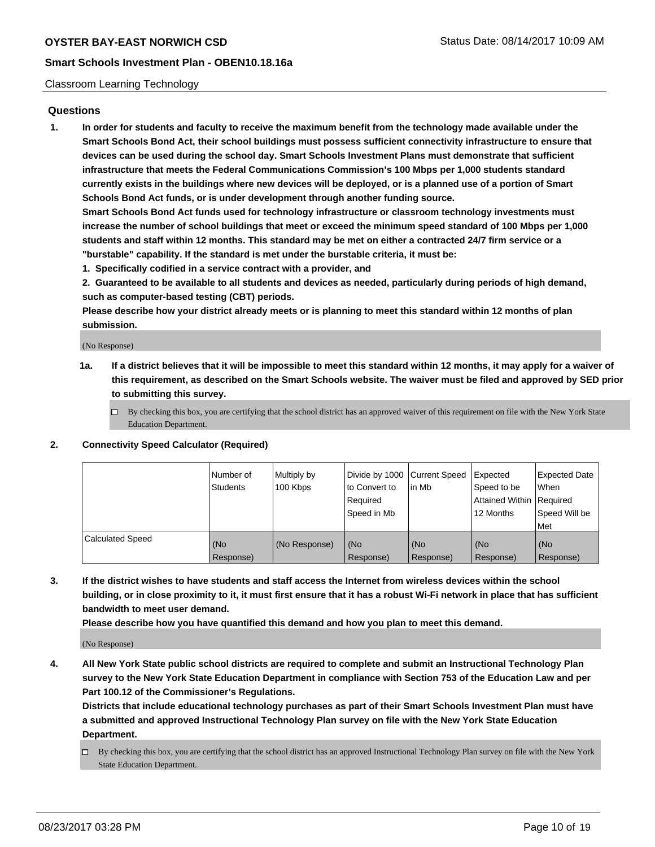#### Classroom Learning Technology

### **Questions**

**1. In order for students and faculty to receive the maximum benefit from the technology made available under the Smart Schools Bond Act, their school buildings must possess sufficient connectivity infrastructure to ensure that devices can be used during the school day. Smart Schools Investment Plans must demonstrate that sufficient infrastructure that meets the Federal Communications Commission's 100 Mbps per 1,000 students standard currently exists in the buildings where new devices will be deployed, or is a planned use of a portion of Smart Schools Bond Act funds, or is under development through another funding source.**

**Smart Schools Bond Act funds used for technology infrastructure or classroom technology investments must increase the number of school buildings that meet or exceed the minimum speed standard of 100 Mbps per 1,000 students and staff within 12 months. This standard may be met on either a contracted 24/7 firm service or a "burstable" capability. If the standard is met under the burstable criteria, it must be:**

**1. Specifically codified in a service contract with a provider, and**

**2. Guaranteed to be available to all students and devices as needed, particularly during periods of high demand, such as computer-based testing (CBT) periods.**

**Please describe how your district already meets or is planning to meet this standard within 12 months of plan submission.**

(No Response)

- **1a. If a district believes that it will be impossible to meet this standard within 12 months, it may apply for a waiver of this requirement, as described on the Smart Schools website. The waiver must be filed and approved by SED prior to submitting this survey.**
	- $\Box$  By checking this box, you are certifying that the school district has an approved waiver of this requirement on file with the New York State Education Department.

#### **2. Connectivity Speed Calculator (Required)**

|                         | Number of<br><b>Students</b> | Multiply by<br>100 Kbps | Divide by 1000 Current Speed<br>to Convert to<br>Required<br>l Speed in Mb | in Mb                        | Expected<br>Speed to be<br>Attained Within   Required<br>12 Months | <b>Expected Date</b><br><b>When</b><br>Speed Will be<br>Met |
|-------------------------|------------------------------|-------------------------|----------------------------------------------------------------------------|------------------------------|--------------------------------------------------------------------|-------------------------------------------------------------|
| <b>Calculated Speed</b> | (No<br>Response)             | (No Response)           | l (No<br>Response)                                                         | KN <sub>O</sub><br>Response) | (No<br>Response)                                                   | (No<br>Response)                                            |

**3. If the district wishes to have students and staff access the Internet from wireless devices within the school building, or in close proximity to it, it must first ensure that it has a robust Wi-Fi network in place that has sufficient bandwidth to meet user demand.**

**Please describe how you have quantified this demand and how you plan to meet this demand.**

(No Response)

**4. All New York State public school districts are required to complete and submit an Instructional Technology Plan survey to the New York State Education Department in compliance with Section 753 of the Education Law and per Part 100.12 of the Commissioner's Regulations.**

**Districts that include educational technology purchases as part of their Smart Schools Investment Plan must have a submitted and approved Instructional Technology Plan survey on file with the New York State Education Department.**

By checking this box, you are certifying that the school district has an approved Instructional Technology Plan survey on file with the New York State Education Department.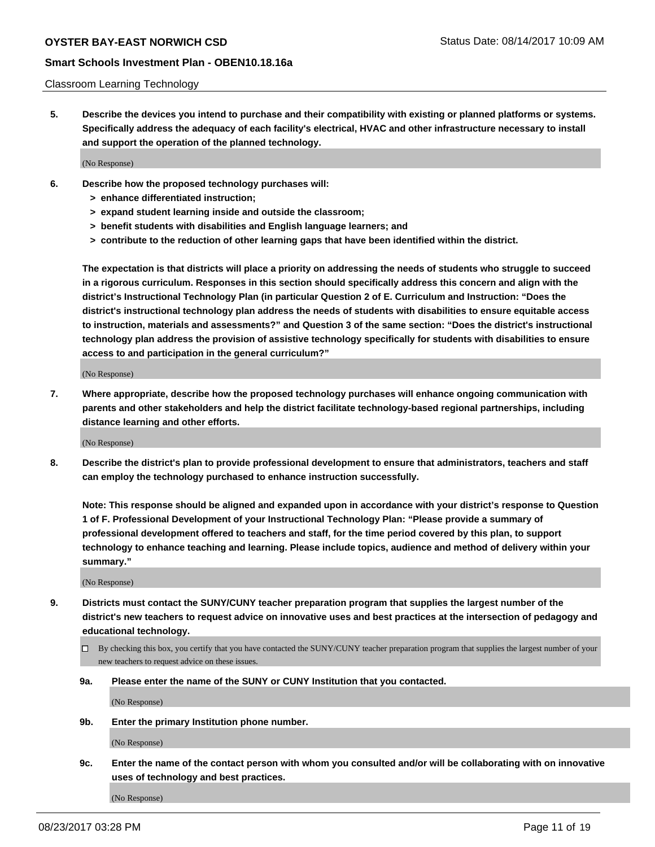#### Classroom Learning Technology

**5. Describe the devices you intend to purchase and their compatibility with existing or planned platforms or systems. Specifically address the adequacy of each facility's electrical, HVAC and other infrastructure necessary to install and support the operation of the planned technology.**

(No Response)

- **6. Describe how the proposed technology purchases will:**
	- **> enhance differentiated instruction;**
	- **> expand student learning inside and outside the classroom;**
	- **> benefit students with disabilities and English language learners; and**
	- **> contribute to the reduction of other learning gaps that have been identified within the district.**

**The expectation is that districts will place a priority on addressing the needs of students who struggle to succeed in a rigorous curriculum. Responses in this section should specifically address this concern and align with the district's Instructional Technology Plan (in particular Question 2 of E. Curriculum and Instruction: "Does the district's instructional technology plan address the needs of students with disabilities to ensure equitable access to instruction, materials and assessments?" and Question 3 of the same section: "Does the district's instructional technology plan address the provision of assistive technology specifically for students with disabilities to ensure access to and participation in the general curriculum?"**

(No Response)

**7. Where appropriate, describe how the proposed technology purchases will enhance ongoing communication with parents and other stakeholders and help the district facilitate technology-based regional partnerships, including distance learning and other efforts.**

(No Response)

**8. Describe the district's plan to provide professional development to ensure that administrators, teachers and staff can employ the technology purchased to enhance instruction successfully.**

**Note: This response should be aligned and expanded upon in accordance with your district's response to Question 1 of F. Professional Development of your Instructional Technology Plan: "Please provide a summary of professional development offered to teachers and staff, for the time period covered by this plan, to support technology to enhance teaching and learning. Please include topics, audience and method of delivery within your summary."**

(No Response)

- **9. Districts must contact the SUNY/CUNY teacher preparation program that supplies the largest number of the district's new teachers to request advice on innovative uses and best practices at the intersection of pedagogy and educational technology.**
	- By checking this box, you certify that you have contacted the SUNY/CUNY teacher preparation program that supplies the largest number of your new teachers to request advice on these issues.
	- **9a. Please enter the name of the SUNY or CUNY Institution that you contacted.**

(No Response)

**9b. Enter the primary Institution phone number.**

(No Response)

**9c. Enter the name of the contact person with whom you consulted and/or will be collaborating with on innovative uses of technology and best practices.**

(No Response)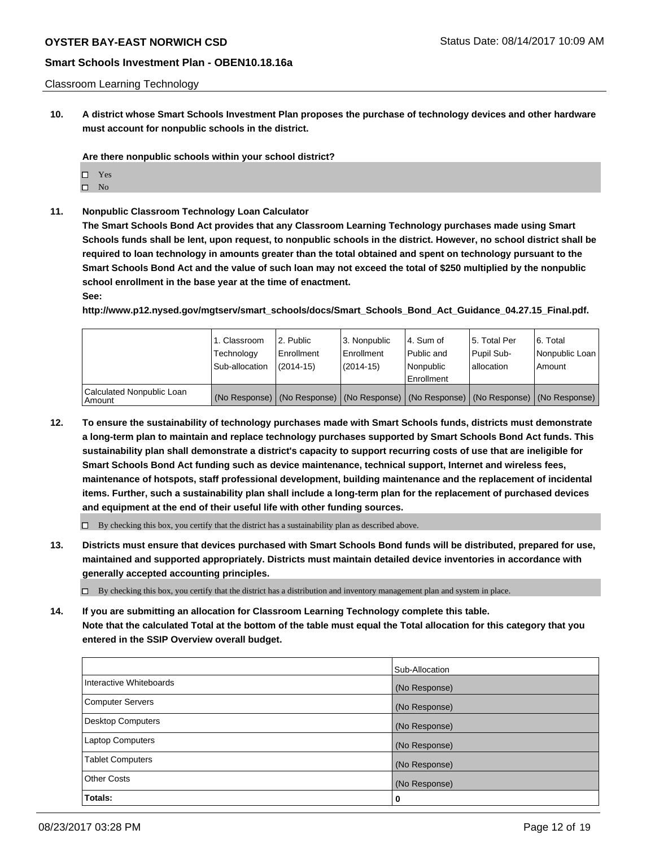Classroom Learning Technology

**10. A district whose Smart Schools Investment Plan proposes the purchase of technology devices and other hardware must account for nonpublic schools in the district.**

**Are there nonpublic schools within your school district?**

- □ Yes
- $\square$  No
- **11. Nonpublic Classroom Technology Loan Calculator**

**The Smart Schools Bond Act provides that any Classroom Learning Technology purchases made using Smart Schools funds shall be lent, upon request, to nonpublic schools in the district. However, no school district shall be required to loan technology in amounts greater than the total obtained and spent on technology pursuant to the Smart Schools Bond Act and the value of such loan may not exceed the total of \$250 multiplied by the nonpublic school enrollment in the base year at the time of enactment.**

#### **See:**

**http://www.p12.nysed.gov/mgtserv/smart\_schools/docs/Smart\_Schools\_Bond\_Act\_Guidance\_04.27.15\_Final.pdf.**

|                                     | 1. Classroom<br>Technology<br>Sub-allocation | 2. Public<br>Enrollment<br>(2014-15) | 3. Nonpublic<br>Enrollment<br>(2014-15) | l 4. Sum of<br>Public and<br>l Nonpublic<br>Enrollment                                        | 15. Total Per<br>Pupil Sub-<br>l allocation | l 6. Total<br>Nonpublic Loan<br>l Amount |
|-------------------------------------|----------------------------------------------|--------------------------------------|-----------------------------------------|-----------------------------------------------------------------------------------------------|---------------------------------------------|------------------------------------------|
| Calculated Nonpublic Loan<br>Amount |                                              |                                      |                                         | (No Response)   (No Response)   (No Response)   (No Response)   (No Response)   (No Response) |                                             |                                          |

**12. To ensure the sustainability of technology purchases made with Smart Schools funds, districts must demonstrate a long-term plan to maintain and replace technology purchases supported by Smart Schools Bond Act funds. This sustainability plan shall demonstrate a district's capacity to support recurring costs of use that are ineligible for Smart Schools Bond Act funding such as device maintenance, technical support, Internet and wireless fees, maintenance of hotspots, staff professional development, building maintenance and the replacement of incidental items. Further, such a sustainability plan shall include a long-term plan for the replacement of purchased devices and equipment at the end of their useful life with other funding sources.**

 $\Box$  By checking this box, you certify that the district has a sustainability plan as described above.

**13. Districts must ensure that devices purchased with Smart Schools Bond funds will be distributed, prepared for use, maintained and supported appropriately. Districts must maintain detailed device inventories in accordance with generally accepted accounting principles.**

By checking this box, you certify that the district has a distribution and inventory management plan and system in place.

**14. If you are submitting an allocation for Classroom Learning Technology complete this table. Note that the calculated Total at the bottom of the table must equal the Total allocation for this category that you entered in the SSIP Overview overall budget.**

|                          | Sub-Allocation |
|--------------------------|----------------|
| Interactive Whiteboards  | (No Response)  |
| <b>Computer Servers</b>  | (No Response)  |
| <b>Desktop Computers</b> | (No Response)  |
| <b>Laptop Computers</b>  | (No Response)  |
| <b>Tablet Computers</b>  | (No Response)  |
| Other Costs              | (No Response)  |
| Totals:                  | 0              |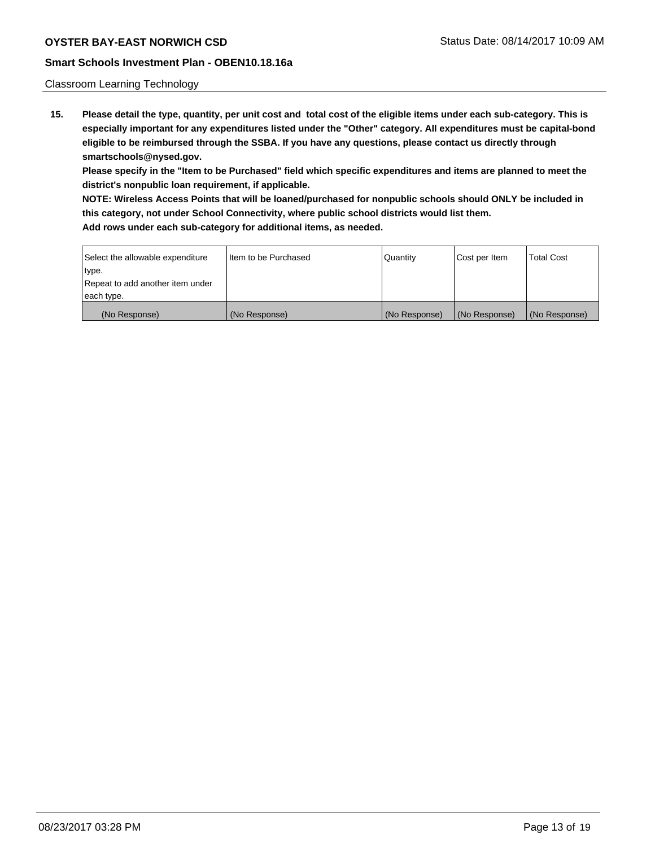#### Classroom Learning Technology

**15. Please detail the type, quantity, per unit cost and total cost of the eligible items under each sub-category. This is especially important for any expenditures listed under the "Other" category. All expenditures must be capital-bond eligible to be reimbursed through the SSBA. If you have any questions, please contact us directly through smartschools@nysed.gov.**

**Please specify in the "Item to be Purchased" field which specific expenditures and items are planned to meet the district's nonpublic loan requirement, if applicable.**

**NOTE: Wireless Access Points that will be loaned/purchased for nonpublic schools should ONLY be included in this category, not under School Connectivity, where public school districts would list them.**

| Select the allowable expenditure | I Item to be Purchased | Quantity      | Cost per Item | <b>Total Cost</b> |
|----------------------------------|------------------------|---------------|---------------|-------------------|
| type.                            |                        |               |               |                   |
| Repeat to add another item under |                        |               |               |                   |
| each type.                       |                        |               |               |                   |
| (No Response)                    | (No Response)          | (No Response) | (No Response) | (No Response)     |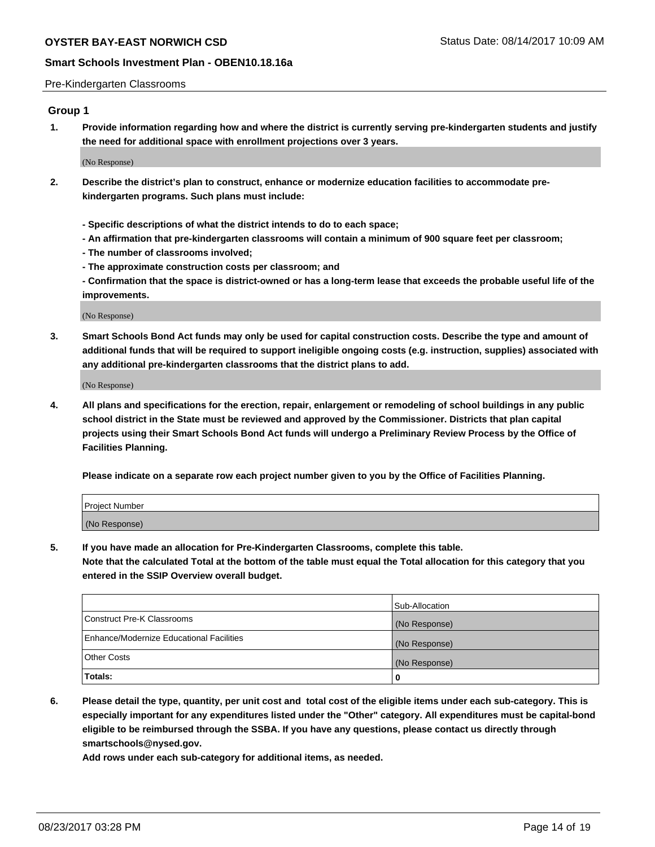#### Pre-Kindergarten Classrooms

## **Group 1**

**1. Provide information regarding how and where the district is currently serving pre-kindergarten students and justify the need for additional space with enrollment projections over 3 years.**

(No Response)

- **2. Describe the district's plan to construct, enhance or modernize education facilities to accommodate prekindergarten programs. Such plans must include:**
	- **Specific descriptions of what the district intends to do to each space;**
	- **An affirmation that pre-kindergarten classrooms will contain a minimum of 900 square feet per classroom;**
	- **The number of classrooms involved;**
	- **The approximate construction costs per classroom; and**

**- Confirmation that the space is district-owned or has a long-term lease that exceeds the probable useful life of the improvements.**

(No Response)

**3. Smart Schools Bond Act funds may only be used for capital construction costs. Describe the type and amount of additional funds that will be required to support ineligible ongoing costs (e.g. instruction, supplies) associated with any additional pre-kindergarten classrooms that the district plans to add.**

(No Response)

**4. All plans and specifications for the erection, repair, enlargement or remodeling of school buildings in any public school district in the State must be reviewed and approved by the Commissioner. Districts that plan capital projects using their Smart Schools Bond Act funds will undergo a Preliminary Review Process by the Office of Facilities Planning.**

**Please indicate on a separate row each project number given to you by the Office of Facilities Planning.**

| Project Number |  |
|----------------|--|
| (No Response)  |  |

**5. If you have made an allocation for Pre-Kindergarten Classrooms, complete this table.**

**Note that the calculated Total at the bottom of the table must equal the Total allocation for this category that you entered in the SSIP Overview overall budget.**

|                                          | Sub-Allocation |
|------------------------------------------|----------------|
| Construct Pre-K Classrooms               | (No Response)  |
| Enhance/Modernize Educational Facilities | (No Response)  |
| Other Costs                              | (No Response)  |
| Totals:                                  | 0              |

**6. Please detail the type, quantity, per unit cost and total cost of the eligible items under each sub-category. This is especially important for any expenditures listed under the "Other" category. All expenditures must be capital-bond eligible to be reimbursed through the SSBA. If you have any questions, please contact us directly through smartschools@nysed.gov.**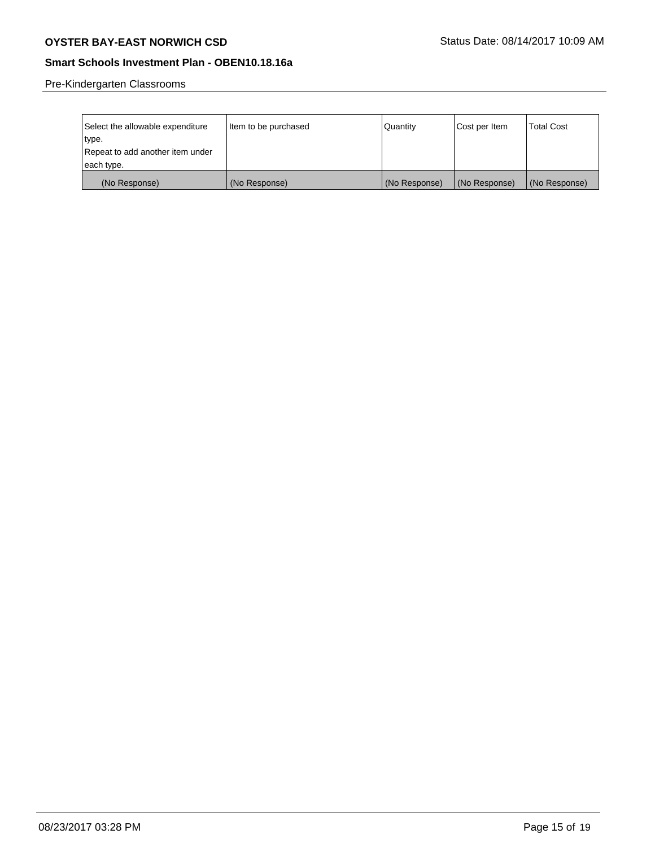Pre-Kindergarten Classrooms

| Select the allowable expenditure<br>type. | Item to be purchased | Quantity      | Cost per Item | Total Cost    |
|-------------------------------------------|----------------------|---------------|---------------|---------------|
| Repeat to add another item under          |                      |               |               |               |
| each type.                                |                      |               |               |               |
| (No Response)                             | (No Response)        | (No Response) | (No Response) | (No Response) |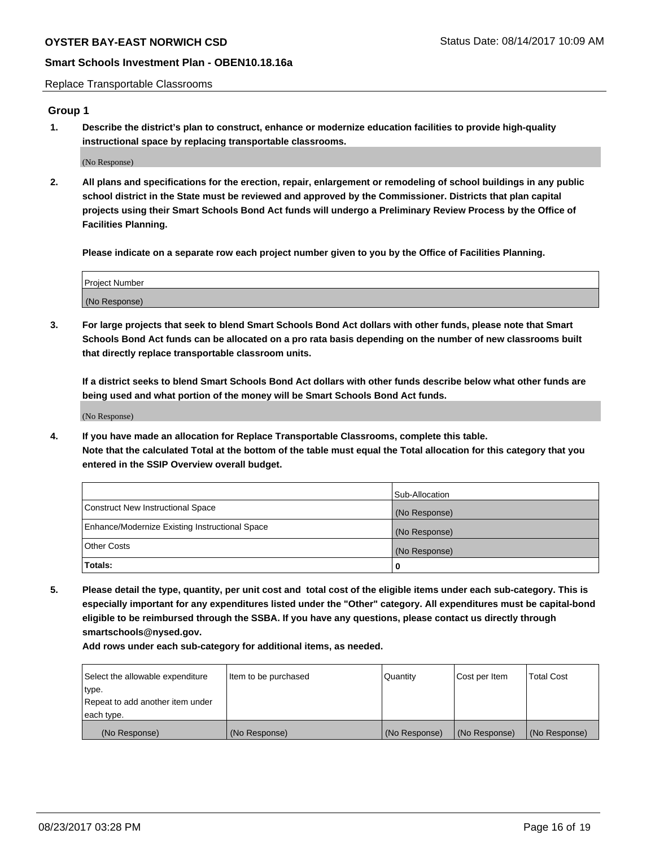Replace Transportable Classrooms

## **Group 1**

**1. Describe the district's plan to construct, enhance or modernize education facilities to provide high-quality instructional space by replacing transportable classrooms.**

(No Response)

**2. All plans and specifications for the erection, repair, enlargement or remodeling of school buildings in any public school district in the State must be reviewed and approved by the Commissioner. Districts that plan capital projects using their Smart Schools Bond Act funds will undergo a Preliminary Review Process by the Office of Facilities Planning.**

**Please indicate on a separate row each project number given to you by the Office of Facilities Planning.**

| Project Number |  |
|----------------|--|
| (No Response)  |  |

**3. For large projects that seek to blend Smart Schools Bond Act dollars with other funds, please note that Smart Schools Bond Act funds can be allocated on a pro rata basis depending on the number of new classrooms built that directly replace transportable classroom units.**

**If a district seeks to blend Smart Schools Bond Act dollars with other funds describe below what other funds are being used and what portion of the money will be Smart Schools Bond Act funds.**

(No Response)

**4. If you have made an allocation for Replace Transportable Classrooms, complete this table. Note that the calculated Total at the bottom of the table must equal the Total allocation for this category that you entered in the SSIP Overview overall budget.**

|                                                | Sub-Allocation |
|------------------------------------------------|----------------|
| Construct New Instructional Space              | (No Response)  |
| Enhance/Modernize Existing Instructional Space | (No Response)  |
| Other Costs                                    | (No Response)  |
| Totals:                                        | 0              |

**5. Please detail the type, quantity, per unit cost and total cost of the eligible items under each sub-category. This is especially important for any expenditures listed under the "Other" category. All expenditures must be capital-bond eligible to be reimbursed through the SSBA. If you have any questions, please contact us directly through smartschools@nysed.gov.**

| Select the allowable expenditure | Item to be purchased | Quantity      | Cost per Item | <b>Total Cost</b> |
|----------------------------------|----------------------|---------------|---------------|-------------------|
| type.                            |                      |               |               |                   |
| Repeat to add another item under |                      |               |               |                   |
| each type.                       |                      |               |               |                   |
| (No Response)                    | (No Response)        | (No Response) | (No Response) | (No Response)     |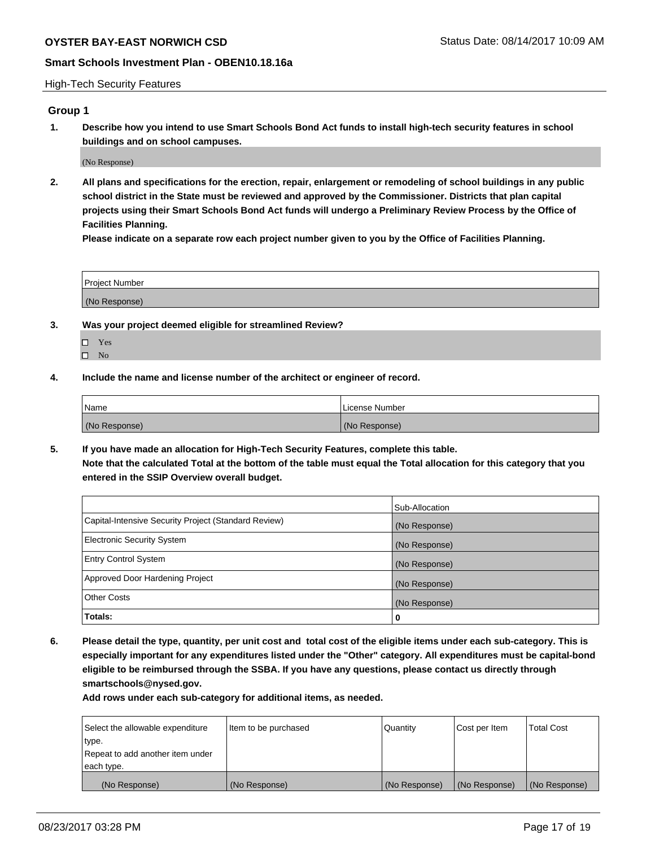#### High-Tech Security Features

## **Group 1**

**1. Describe how you intend to use Smart Schools Bond Act funds to install high-tech security features in school buildings and on school campuses.**

(No Response)

**2. All plans and specifications for the erection, repair, enlargement or remodeling of school buildings in any public school district in the State must be reviewed and approved by the Commissioner. Districts that plan capital projects using their Smart Schools Bond Act funds will undergo a Preliminary Review Process by the Office of Facilities Planning.** 

**Please indicate on a separate row each project number given to you by the Office of Facilities Planning.**

| <b>Project Number</b> |  |
|-----------------------|--|
| (No Response)         |  |

- **3. Was your project deemed eligible for streamlined Review?**
	- Yes  $\square$  No
- **4. Include the name and license number of the architect or engineer of record.**

| <b>Name</b>   | License Number |
|---------------|----------------|
| (No Response) | (No Response)  |

**5. If you have made an allocation for High-Tech Security Features, complete this table. Note that the calculated Total at the bottom of the table must equal the Total allocation for this category that you entered in the SSIP Overview overall budget.**

|                                                      | Sub-Allocation |
|------------------------------------------------------|----------------|
| Capital-Intensive Security Project (Standard Review) | (No Response)  |
| <b>Electronic Security System</b>                    | (No Response)  |
| <b>Entry Control System</b>                          | (No Response)  |
| Approved Door Hardening Project                      | (No Response)  |
| <b>Other Costs</b>                                   | (No Response)  |
| Totals:                                              | 0              |

**6. Please detail the type, quantity, per unit cost and total cost of the eligible items under each sub-category. This is especially important for any expenditures listed under the "Other" category. All expenditures must be capital-bond eligible to be reimbursed through the SSBA. If you have any questions, please contact us directly through smartschools@nysed.gov.**

| Select the allowable expenditure | Item to be purchased | Quantity      | Cost per Item | <b>Total Cost</b> |
|----------------------------------|----------------------|---------------|---------------|-------------------|
| type.                            |                      |               |               |                   |
| Repeat to add another item under |                      |               |               |                   |
| each type.                       |                      |               |               |                   |
| (No Response)                    | (No Response)        | (No Response) | (No Response) | (No Response)     |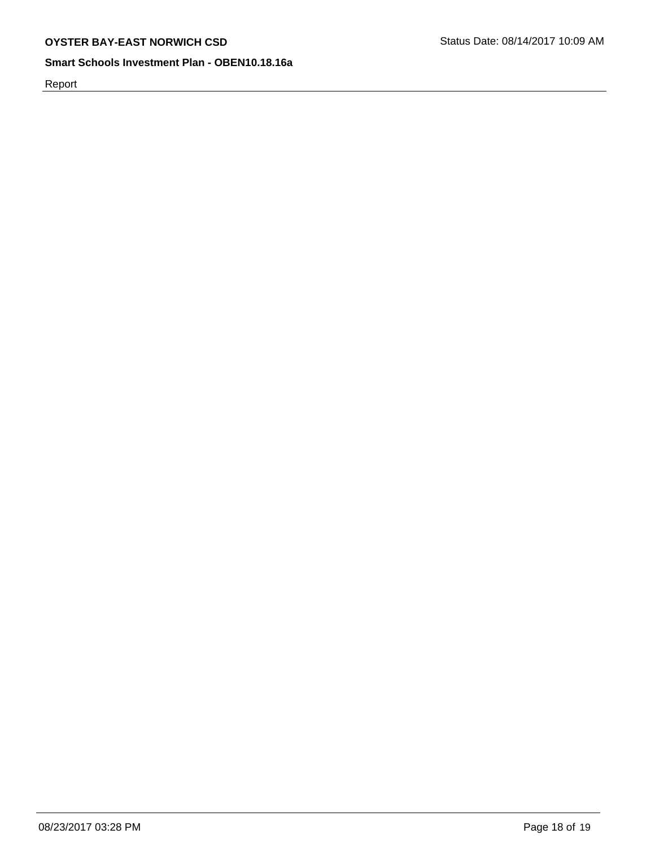Report